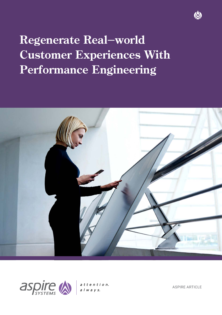# **Regenerate Real-world Customer Experiences With Performance Engineering**





 $atten tion.$  $a \mid w \mid a \mid y \mid s.$ 

ASPIRE ARTICLE

**IA**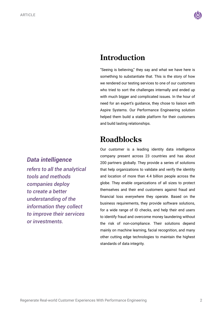

### **Introduction**

"Seeing is believing," they say and what we have here is something to substantiate that. This is the story of how we rendered our testing services to one of our customers who tried to sort the challenges internally and ended up with much bigger and complicated issues. In the hour of need for an expert's guidance, they chose to liaison with Aspire Systems. Our Performance Engineering solution helped them build a stable platform for their customers and build lasting relationships.

# **Roadblocks**

*Data intelligence* 

*refers to all the analytical tools and methods companies deploy to create a better understanding of the information they collect to improve their services or investments.*

Our customer is a leading identity data intelligence company present across 23 countries and has about 200 partners globally. They provide a series of solutions that help organizations to validate and verify the identity and location of more than 4.4 billion people across the globe. They enable organizations of all sizes to protect themselves and their end customers against fraud and financial loss everywhere they operate. Based on the business requirements, they provide software solutions, for a wide range of ID checks, and help their end users to identify fraud and overcome money laundering without the risk of non-compliance. Their solutions depend mainly on machine learning, facial recognition, and many other cutting edge technologies to maintain the highest standards of data integrity.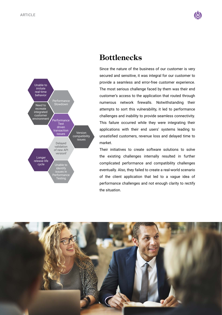Unable to imitate real-time behavior

Need to recreate integrated customer environment

Longer release life<br>cycle Performance Slowdown

**Performance** Test driven transaction

Delayed validation of new API versionf

Unable to identify issues in Performance **Testing** 

issues Version compatibility

issues





Since the nature of the business of our customer is very secured and sensitive, it was integral for our customer to provide a seamless and error-free customer experience. The most serious challenge faced by them was their end customer's access to the application that routed through numerous network firewalls. Notwithstanding their attempts to sort this vulnerability, it led to performance challenges and inability to provide seamless connectivity. This failure occurred while they were integrating their applications with their end users' systems leading to unsatisfied customers, revenue loss and delayed time to market.

Their initiatives to create software solutions to solve the existing challenges internally resulted in further complicated performance and compatibility challenges eventually. Also, they failed to create a real-world scenario of the client application that led to a vague idea of performance challenges and not enough clarity to rectify the situation.



# **Bottlenecks**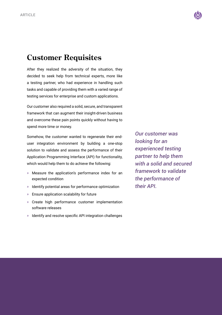

## **Customer Requisites**

After they realized the adversity of the situation, they decided to seek help from technical experts, more like a testing partner, who had experience in handling such tasks and capable of providing them with a varied range of testing services for enterprise and custom applications.

Our customer also required a solid, secure, and transparent framework that can augment their insight-driven business and overcome these pain points quickly without having to spend more time or money.

Somehow, the customer wanted to regenerate their enduser integration environment by building a one-stop solution to validate and assess the performance of their Application Programming Interface (API) for functionality, which would help them to do achieve the following:

- » Measure the application's performance index for an expected condition
- » Identify potential areas for performance optimization
- » Ensure application scalability for future
- » Create high performance customer implementation software releases
- » Identify and resolve specific API integration challenges

*Our customer was looking for an experienced testing partner to help them with a solid and secured framework to validate the performance of their API.*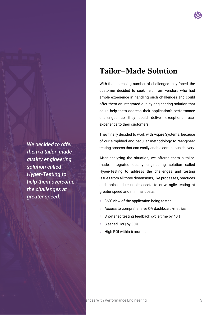

# **Tailor-Made Solution**

With the increasing number of challenges they faced, the customer decided to seek help from vendors who had ample experience in handling such challenges and could offer them an integrated quality engineering solution that could help them address their application's performance challenges so they could deliver exceptional user experience to their customers.

They finally decided to work with Aspire Systems, because of our simplified and peculiar methodology to reengineer testing process that can easily enable continuous delivery.

After analyzing the situation, we offered them a tailormade, integrated quality engineering solution called Hyper-Testing to address the challenges and testing issues from all three dimensions, like processes, practices and tools and reusable assets to drive agile testing at greater speed and minimal costs.

- » 360˚ view of the application being tested
- » Access to comprehensive QA dashboard/metrics
- » Shortened testing feedback cycle time by 40%
- » Slashed CoQ by 30%
- » High ROI within 6 months

*We decided to offer them a tailor-made quality engineering solution called Hyper-Testing to help them overcome the challenges at greater speed.*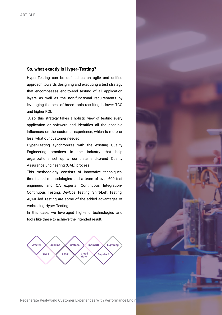### **So, what exactly is Hyper-Testing?**

Hyper-Testing can be defined as an agile and unified approach towards designing and executing a test strategy that encompasses end-to-end testing of all application layers as well as the non-functional requirements by leveraging the best of breed tools resulting in lower TCO and higher ROI.

 Also, this strategy takes a holistic view of testing every application or software and identifies all the possible influences on the customer experience, which is more or less, what our customer needed.

Hyper-Testing synchronizes with the existing Quality Engineering practices in the industry that help organizations set up a complete end-to-end Quality Assurance Engineering (QAE) process.

This methodology consists of innovative techniques, time-tested methodologies and a team of over 600 test engineers and QA experts. Continuous Integration/ Continuous Testing, DevOps Testing, Shift-Left Testing, AI/ML-led Testing are some of the added advantages of embracing Hyper-Testing.

In this case, we leveraged high-end technologies and tools like these to achieve the intended result.



Regenerate Real-world Customer Experiences With Performance Engineer

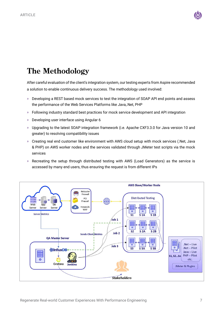

# **The Methodology**

After careful evaluation of the client's integration system, our testing experts from Aspire recommended a solution to enable continuous delivery success. The methodology used involved:

- » Developing a REST based mock services to test the integration of SOAP API end points and assess the performance of the Web Services Platforms like Java,.Net, PHP
- » Following industry standard best practices for mock service development and API integration
- » Developing user interface using Angular 6
- » Upgrading to the latest SOAP integration framework (i.e. Apache CXF3.3.0 for Java version 10 and greater) to resolving compatibility issues
- » Creating real end customer like environment with AWS cloud setup with mock services (.Net, Java & PHP) on AWS worker nodes and the services validated through JMeter test scripts via the mock services
- » Recreating the setup through distributed testing with AWS (Load Generators) as the service is accessed by many end users, thus ensuring the request is from different IPs

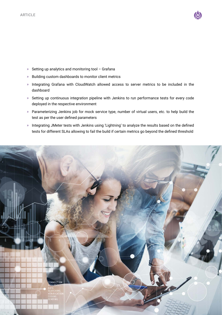

- » Setting up analytics and monitoring tool Grafana
- » Building custom dashboards to monitor client metrics
- » Integrating Grafana with CloudWatch allowed access to server metrics to be included in the dashboard
- » Setting up continuous integration pipeline with Jenkins to run performance tests for every code deployed in the respective environment
- » Parameterizing Jenkins job for mock service type, number of virtual users, etc. to help build the test as per the user defined parameters
- » Integrating JMeter tests with Jenkins using 'Lightning' to analyze the results based on the defined tests for different SLAs allowing to fail the build if certain metrics go beyond the defined threshold

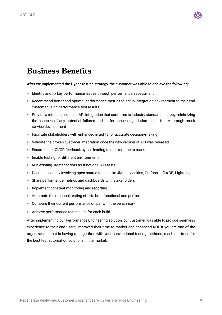

# **Business Benefits**

### After we implemented the Hyper-testing strategy, the customer was able to achieve the following:

- » Identify and fix key performance issues through performance assessment
- » Recommend better and optimal performance metrics to setup integration environment to their end customer using performance test results
- » Provide a reference code for API integration that conforms to industry standards thereby, minimizing the chances of any potential failures and performance degradation in the future through mock service development
- » Facilitate stakeholders with enhanced insights for accurate decision-making
- » Validate the broken customer integration once the new version of API was released
- » Ensure faster CI/CD feedback cycles leading to quicker time to market
- » Enable testing for different environments
- » Run existing JMeter scripts as functional API tests
- » Decrease cost by involving open source toolset like JMeter, Jenkins, Grafana, InfluxDB, Lightning
- » Share performance metrics and dashboards with stakeholders
- » Implement constant monitoring and reporting
- » Automate their manual testing efforts both functional and performance
- » Compare their current performance on par with the benchmark
- » Achieve performance test results for each build

After implementing our Performance Engineering solution, our customer was able to provide seamless experience to their end users, improved their time to market and enhanced ROI. If you are one of the organizations that is having a tough time with your conventional testing methods, reach out to us for the best test automation solutions in the market.